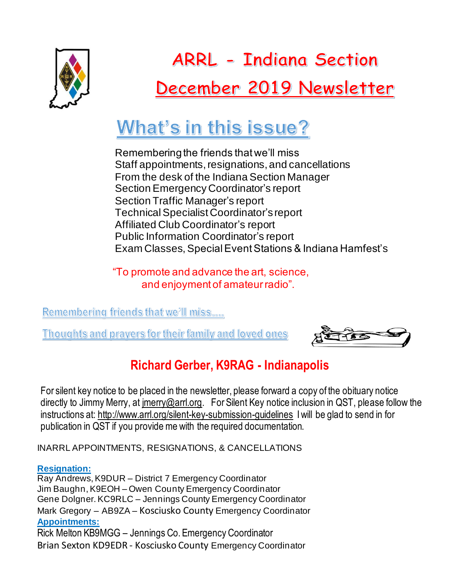

**ARRL - Indiana Section** December 2019 Newsletter

# What's in this issue?

Remembering the friends that we'll miss Staff appointments, resignations, and cancellations From the desk of the Indiana Section Manager Section Emergency Coordinator's report Section Traffic Manager's report Technical Specialist Coordinator's report Affiliated Club Coordinator's report Public Information Coordinator's report Exam Classes, Special Event Stations & Indiana Hamfest's

"To promote and advance the art, science, and enjoyment of amateur radio".

Remembering friends that we'll miss....

Thoughts and prayers for their family and loved ones



# **Richard Gerber, K9RAG - Indianapolis**

For silent key notice to be placed in the newsletter, please forward a copy of the obituary notice directly to Jimmy Merry, at [jmerry@arrl.org.](mailto:jmerry@arrl.org) For Silent Key notice inclusion in QST, please follow the instructions at:<http://www.arrl.org/silent-key-submission-guidelines> I will be glad to send in for publication in QST if you provide me with the required documentation.

INARRL APPOINTMENTS, RESIGNATIONS, & CANCELLATIONS

#### **Resignation:**

Ray Andrews, K9DUR – District 7 Emergency Coordinator Jim Baughn, K9EOH – Owen County Emergency Coordinator Gene Dolgner. KC9RLC – Jennings County Emergency Coordinator Mark Gregory – AB9ZA – Kosciusko County Emergency Coordinator **Appointments:** Rick Melton KB9MGG – Jennings Co. Emergency Coordinator Brian Sexton KD9EDR - Kosciusko County Emergency Coordinator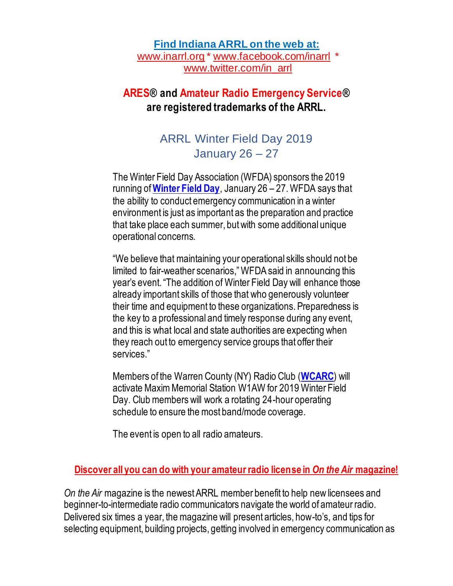#### **Find Indiana ARRL on the web at:**

[www.inarrl.org](http://www.inarrl.org/) \* [www.facebook.com/inarrl](http://www.facebook.com/inarrl) \* [www.twitter.com/in\\_arrl](http://www.twitter.com/in_arrl)

# **ARES® and Amateur Radio Emergency Service® are registered trademarks of the ARRL.**

# ARRL Winter Field Day 2019 January 26 – 27

The Winter Field Day Association (WFDA) sponsors the 2019 running of **[Winter Field Day](https://www.winterfieldday.com/)**, January 26 – 27. WFDA says that the ability to conduct emergency communication in a winter environment is just as important as the preparation and practice that take place each summer, but with some additional unique operational concerns.

"We believe that maintaining your operational skills should not be limited to fair-weather scenarios," WFDA said in announcing this year's event. "The addition of Winter Field Day will enhance those already important skills of those that who generously volunteer their time and equipment to these organizations. Preparedness is the key to a professional and timely response during any event, and this is what local and state authorities are expecting when they reach out to emergency service groups that offer their services."

Members of the Warren County (NY) Radio Club (**[WCARC](http://w2wcr.org/)**) will activate Maxim Memorial Station W1AW for 2019 Winter Field Day. Club members will work a rotating 24-hour operating schedule to ensure the most band/mode coverage.

The event is open to all radio amateurs.

#### **Discover all you can do with your amateur radio license in** *On the Air* **magazine!**

*On the Air* magazine is the newest ARRL member benefit to help new licensees and beginner-to-intermediate radio communicators navigate the world of amateur radio. Delivered six times a year, the magazine will present articles, how-to's, and tips for selecting equipment, building projects, getting involved in emergency communication as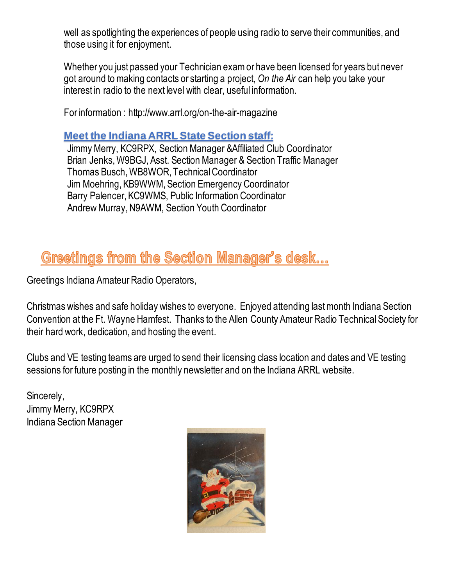well as spotlighting the experiences of people using radio to serve their communities, and those using it for enjoyment.

Whether you just passed your Technician exam or have been licensed for years but never got around to making contacts or starting a project, *On the Air* can help you take your interest in radio to the next level with clear, useful information.

For information : http://www.arrl.org/on-the-air-magazine

#### **Meet the Indiana ARRL State Section staff:**

Jimmy Merry, KC9RPX, Section Manager &Affiliated Club Coordinator Brian Jenks, W9BGJ, Asst. Section Manager & Section Traffic Manager Thomas Busch, WB8WOR, Technical Coordinator Jim Moehring, KB9WWM, Section Emergency Coordinator Barry Palencer, KC9WMS, Public Information Coordinator Andrew Murray, N9AWM, Section Youth Coordinator

# Greetings from the Section Manager's desk...

Greetings Indiana Amateur Radio Operators,

Christmas wishes and safe holiday wishes to everyone. Enjoyed attending last month Indiana Section Convention at the Ft. Wayne Hamfest. Thanks to the Allen County Amateur Radio Technical Society for their hard work, dedication, and hosting the event.

Clubs and VE testing teams are urged to send their licensing class location and dates and VE testing sessions for future posting in the monthly newsletter and on the Indiana ARRL website.

Sincerely, Jimmy Merry, KC9RPX Indiana Section Manager

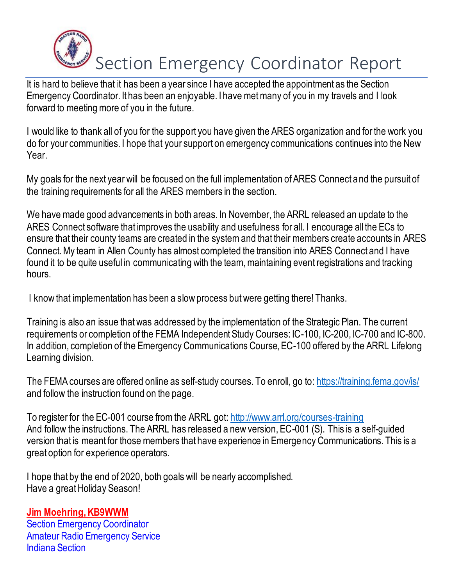

It is hard to believe that it has been a year since I have accepted the appointment as the Section Emergency Coordinator. It has been an enjoyable. I have met many of you in my travels and I look forward to meeting more of you in the future.

I would like to thank all of you for the support you have given the ARES organization and for the work you do for your communities. I hope that your support on emergency communications continues into the New Year.

My goals for the next year will be focused on the full implementation of ARES Connect and the pursuit of the training requirements for all the ARES members in the section.

We have made good advancements in both areas. In November, the ARRL released an update to the ARES Connect software that improves the usability and usefulness for all. I encourage all the ECs to ensure that their county teams are created in the system and that their members create accounts in ARES Connect. My team in Allen County has almost completed the transition into ARES Connect and I have found it to be quite useful in communicating with the team, maintaining event registrations and tracking hours.

I know that implementation has been a slow process but were getting there! Thanks.

Training is also an issue that was addressed by the implementation of the Strategic Plan. The current requirements or completion of the FEMA Independent Study Courses: IC-100, IC-200, IC-700 and IC-800. In addition, completion of the Emergency Communications Course, EC-100 offered by the ARRL Lifelong Learning division.

The FEMA courses are offered online as self-study courses. To enroll, go to[: https://training.fema.gov/is/](https://training.fema.gov/is/) and follow the instruction found on the page.

To register for the EC-001 course from the ARRL got:<http://www.arrl.org/courses-training> And follow the instructions. The ARRL has released a new version, EC-001 (S). This is a self-guided version that is meant for those members that have experience in Emergency Communications. This is a great option for experience operators.

I hope that by the end of 2020, both goals will be nearly accomplished. Have a great Holiday Season!

# **Jim Moehring, KB9WWM**

Section Emergency Coordinator Amateur Radio Emergency Service Indiana Section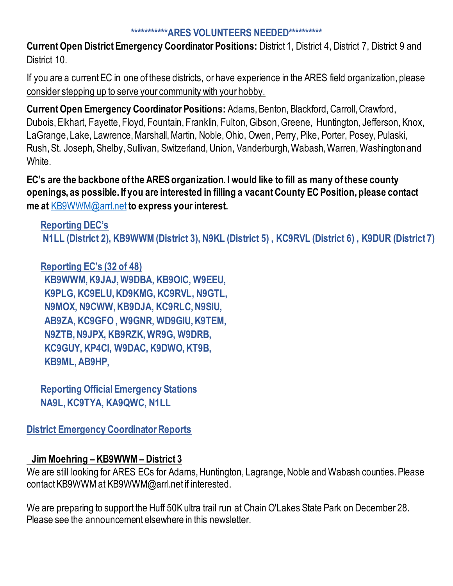#### **\*\*\*\*\*\*\*\*\*\*\*ARES VOLUNTEERS NEEDED\*\*\*\*\*\*\*\*\*\***

**Current Open District Emergency Coordinator Positions:** District 1, District 4, District 7, District 9 and District 10.

If you are a current EC in one of these districts, or have experience in the ARES field organization, please consider stepping up to serve your community with your hobby.

**Current Open Emergency Coordinator Positions:** Adams, Benton, Blackford, Carroll, Crawford, Dubois, Elkhart, Fayette, Floyd, Fountain, Franklin, Fulton, Gibson, Greene, Huntington, Jefferson, Knox, LaGrange, Lake, Lawrence, Marshall, Martin, Noble, Ohio, Owen, Perry, Pike, Porter, Posey, Pulaski, Rush, St. Joseph, Shelby, Sullivan, Switzerland, Union, Vanderburgh, Wabash, Warren, Washington and White.

**EC's are the backbone of the ARES organization. I would like to fill as many of these county openings, as possible. If you are interested in filling a vacant County EC Position, please contact me at** [KB9WWM@arrl.net](mailto:KB9WWM@arrl.net) **to express your interest.**

**Reporting DEC's N1LL (District 2), KB9WWM (District 3), N9KL (District 5) , KC9RVL (District 6) , K9DUR (District 7)** 

**Reporting EC's (32 of 48) KB9WWM, K9JAJ, W9DBA, KB9OIC, W9EEU, K9PLG, KC9ELU, KD9KMG, KC9RVL, N9GTL, N9MOX, N9CWW, KB9DJA, KC9RLC, N9SIU, AB9ZA, KC9GFO , W9GNR, WD9GIU, K9TEM, N9ZTB, N9JPX, KB9RZK, WR9G, W9DRB, KC9GUY, KP4CI, W9DAC, K9DWO, KT9B, KB9ML, AB9HP,**

**Reporting Official Emergency Stations NA9L, KC9TYA, KA9QWC, N1LL**

**District Emergency Coordinator Reports**

#### **Jim Moehring – KB9WWM – District 3**

We are still looking for ARES ECs for Adams, Huntington, Lagrange, Noble and Wabash counties. Please contact KB9WWM at KB9WWM@arrl.net if interested.

We are preparing to support the Huff 50K ultra trail run at Chain O'Lakes State Park on December 28. Please see the announcement elsewhere in this newsletter.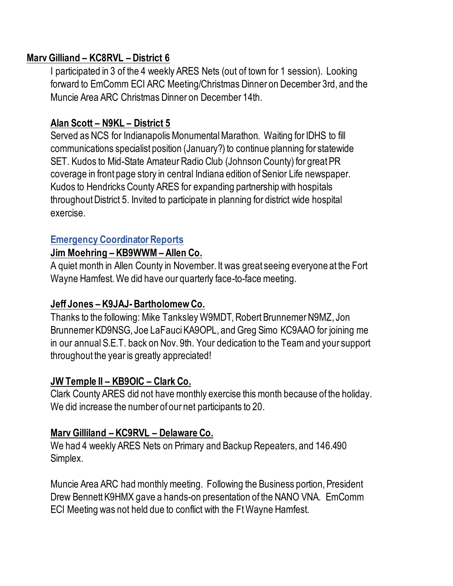#### **Marv Gilliand – KC8RVL – District 6**

I participated in 3 of the 4 weekly ARES Nets (out of town for 1 session). Looking forward to EmComm ECI ARC Meeting/Christmas Dinner on December 3rd, and the Muncie Area ARC Christmas Dinner on December 14th.

# **Alan Scott – N9KL – District 5**

Served as NCS for Indianapolis Monumental Marathon. Waiting for IDHS to fill communications specialist position (January?) to continue planning for statewide SET. Kudos to Mid-State Amateur Radio Club (Johnson County) for great PR coverage in front page story in central Indiana edition of Senior Life newspaper. Kudos to Hendricks County ARES for expanding partnership with hospitals throughout District 5. Invited to participate in planning for district wide hospital exercise.

## **Emergency Coordinator Reports**

#### **Jim Moehring – KB9WWM – Allen Co.**

A quiet month in Allen County in November. It was great seeing everyone at the Fort Wayne Hamfest. We did have our quarterly face-to-face meeting.

#### **Jeff Jones – K9JAJ-Bartholomew Co.**

Thanks to the following: Mike Tanksley W9MDT, Robert Brunnemer N9MZ, Jon Brunnemer KD9NSG, Joe LaFauci KA9OPL, and Greg Simo KC9AAO for joining me in our annual S.E.T. back on Nov. 9th. Your dedication to the Team and your support throughout the year is greatly appreciated!

#### **JW Temple II – KB9OIC – Clark Co.**

Clark County ARES did not have monthly exercise this month because of the holiday. We did increase the number of our net participants to 20.

# **Marv Gilliland – KC9RVL – Delaware Co.**

We had 4 weekly ARES Nets on Primary and Backup Repeaters, and 146.490 Simplex.

Muncie Area ARC had monthly meeting. Following the Business portion, President Drew Bennett K9HMX gave a hands-on presentation of the NANO VNA. EmComm ECI Meeting was not held due to conflict with the Ft Wayne Hamfest.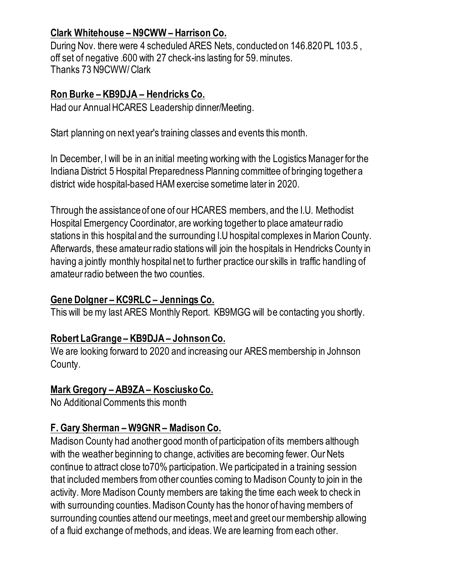# **Clark Whitehouse – N9CWW – Harrison Co.**

During Nov. there were 4 scheduled ARES Nets, conducted on 146.820 PL 103.5 , off set of negative .600 with 27 check-ins lasting for 59. minutes. Thanks 73 N9CWW/ Clark

#### **Ron Burke – KB9DJA – Hendricks Co.**

Had our Annual HCARES Leadership dinner/Meeting.

Start planning on next year's training classes and events this month.

In December, I will be in an initial meeting working with the Logistics Manager for the Indiana District 5 Hospital Preparedness Planning committee of bringing together a district wide hospital-based HAM exercise sometime later in 2020.

Through the assistance of one of our HCARES members, and the I.U. Methodist Hospital Emergency Coordinator, are working together to place amateur radio stations in this hospital and the surrounding I.U hospital complexes in Marion County. Afterwards, these amateur radio stations will join the hospitals in Hendricks County in having a jointly monthly hospital net to further practice our skills in traffic handling of amateur radio between the two counties.

### **Gene Dolgner – KC9RLC – Jennings Co.**

This will be my last ARES Monthly Report. KB9MGG will be contacting you shortly.

# **Robert LaGrange – KB9DJA – Johnson Co.**

We are looking forward to 2020 and increasing our ARES membership in Johnson County.

# **Mark Gregory – AB9ZA – Kosciusko Co.**

No Additional Comments this month

# **F. Gary Sherman – W9GNR – Madison Co.**

Madison County had another good month of participation of its members although with the weather beginning to change, activities are becoming fewer. Our Nets continue to attract close to70% participation. We participated in a training session that included members from other counties coming to Madison County to join in the activity. More Madison County members are taking the time each week to check in with surrounding counties. Madison County has the honor of having members of surrounding counties attend our meetings, meet and greet our membership allowing of a fluid exchange of methods, and ideas. We are learning from each other.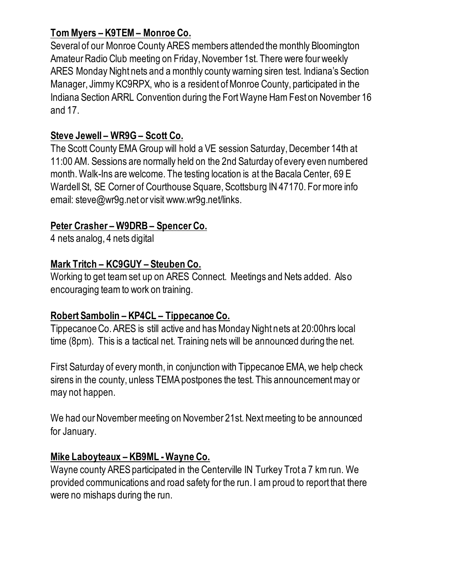# **Tom Myers – K9TEM – Monroe Co.**

Several of our Monroe County ARES members attended the monthly Bloomington Amateur Radio Club meeting on Friday, November 1st. There were four weekly ARES Monday Night nets and a monthly county warning siren test. Indiana's Section Manager, Jimmy KC9RPX, who is a resident of Monroe County, participated in the Indiana Section ARRL Convention during the Fort Wayne Ham Fest on November 16 and 17.

# **Steve Jewell – WR9G – Scott Co.**

The Scott County EMA Group will hold a VE session Saturday, December 14th at 11:00 AM. Sessions are normally held on the 2nd Saturday of every even numbered month. Walk-Ins are welcome. The testing location is at the Bacala Center, 69 E Wardell St, SE Corner of Courthouse Square, Scottsburg IN 47170. For more info email: steve@wr9g.net or visit www.wr9g.net/links.

## **Peter Crasher – W9DRB – Spencer Co.**

4 nets analog, 4 nets digital

## **Mark Tritch – KC9GUY – Steuben Co.**

Working to get team set up on ARES Connect. Meetings and Nets added. Also encouraging team to work on training.

#### **Robert Sambolin – KP4CL – Tippecanoe Co.**

Tippecanoe Co. ARES is still active and has Monday Night nets at 20:00hrs local time (8pm). This is a tactical net. Training nets will be announced during the net.

First Saturday of every month, in conjunction with Tippecanoe EMA, we help check sirens in the county, unless TEMA postpones the test. This announcement may or may not happen.

We had our November meeting on November 21st. Next meeting to be announced for January.

#### **Mike Laboyteaux – KB9ML -Wayne Co.**

Wayne county ARES participated in the Centerville IN Turkey Trot a 7 km run. We provided communications and road safety for the run. I am proud to report that there were no mishaps during the run.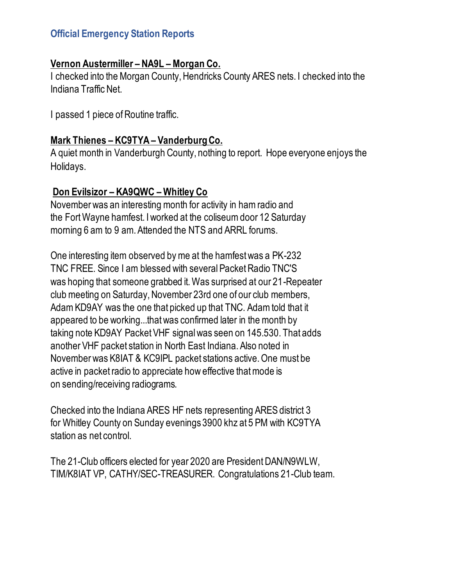### **Official Emergency Station Reports**

#### **Vernon Austermiller – NA9L – Morgan Co.**

I checked into the Morgan County, Hendricks County ARES nets. I checked into the Indiana Traffic Net.

I passed 1 piece of Routine traffic.

#### **Mark Thienes – KC9TYA – Vanderburg Co.**

A quiet month in Vanderburgh County, nothing to report. Hope everyone enjoys the Holidays.

#### **Don Evilsizor – KA9QWC – Whitley Co**

November was an interesting month for activity in ham radio and the Fort Wayne hamfest. I worked at the coliseum door 12 Saturday morning 6 am to 9 am. Attended the NTS and ARRL forums.

One interesting item observed by me at the hamfest was a PK-232 TNC FREE. Since I am blessed with several Packet Radio TNC'S was hoping that someone grabbed it. Was surprised at our 21-Repeater club meeting on Saturday, November 23rd one of our club members, Adam KD9AY was the one that picked up that TNC. Adam told that it appeared to be working...that was confirmed later in the month by taking note KD9AY Packet VHF signal was seen on 145.530. That adds another VHF packet station in North East Indiana. Also noted in November was K8IAT & KC9IPL packet stations active. One must be active in packet radio to appreciate how effective that mode is on sending/receiving radiograms.

Checked into the Indiana ARES HF nets representing ARES district 3 for Whitley County on Sunday evenings 3900 khz at 5 PM with KC9TYA station as net control.

The 21-Club officers elected for year 2020 are President DAN/N9WLW, TIM/K8IAT VP, CATHY/SEC-TREASURER. Congratulations 21-Club team.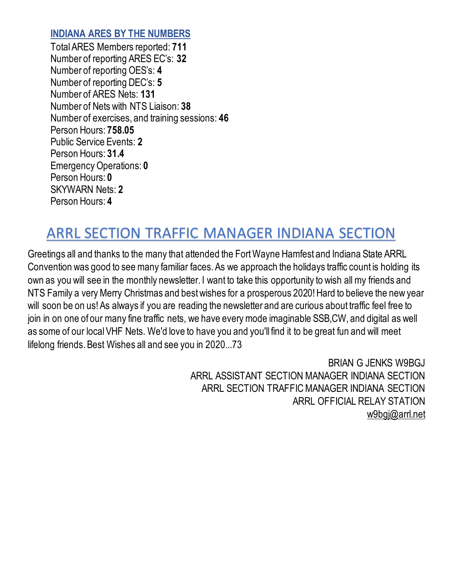#### **INDIANA ARES BY THE NUMBERS**

Total ARES Members reported: **711** Number of reporting ARES EC's: **32** Number of reporting OES's: **4** Number of reporting DEC's: **5** Number of ARES Nets: **131** Number of Nets with NTS Liaison: **38** Number of exercises, and training sessions: **46** Person Hours: **758.05** Public Service Events: **2** Person Hours: **31.4** Emergency Operations: **0** Person Hours: **0** SKYWARN Nets: **2** Person Hours: **4**

# ARRL SECTION TRAFFIC MANAGER INDIANA SECTION

Greetings all and thanks to the many that attended the Fort Wayne Hamfest and Indiana State ARRL Convention was good to see many familiar faces. As we approach the holidays traffic count is holding its own as you will see in the monthly newsletter. I want to take this opportunity to wish all my friends and NTS Family a very Merry Christmas and best wishes for a prosperous 2020! Hard to believe the new year will soon be on us! As always if you are reading the newsletter and are curious about traffic feel free to join in on one of our many fine traffic nets, we have every mode imaginable SSB,CW, and digital as well as some of our local VHF Nets. We'd love to have you and you'll find it to be great fun and will meet lifelong friends. Best Wishes all and see you in 2020...73

> BRIAN G JENKS W9BGJ ARRL ASSISTANT SECTION MANAGER INDIANA SECTION ARRL SECTION TRAFFIC MANAGER INDIANA SECTION ARRL OFFICIAL RELAY STATION [w9bgj@arrl.net](mailto:w9bgj@arrl.net)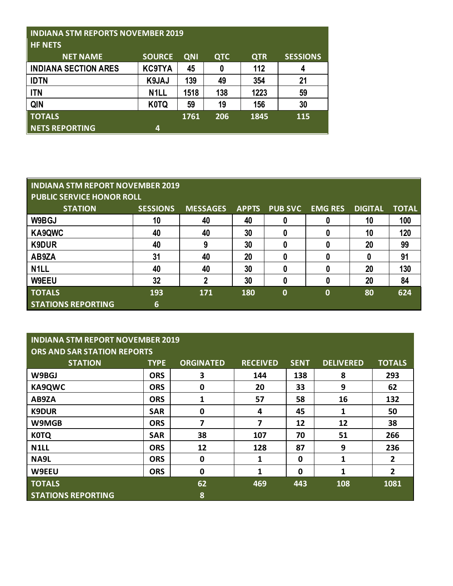| <b>INDIANA STM REPORTS NOVEMBER 2019</b><br><b>HF NETS</b> |                   |            |            |            |                 |  |
|------------------------------------------------------------|-------------------|------------|------------|------------|-----------------|--|
| <b>NET NAME</b>                                            | <b>SOURCE</b>     | <b>QNI</b> | <b>QTC</b> | <b>QTR</b> | <b>SESSIONS</b> |  |
| <b>INDIANA SECTION ARES</b>                                | <b>KC9TYA</b>     | 45         | 0          | 112        | 4               |  |
| <b>IDTN</b>                                                | K9JAJ             | 139        | 49         | 354        | 21              |  |
| <b>ITN</b>                                                 | N <sub>1</sub> LL | 1518       | 138        | 1223       | 59              |  |
| QIN                                                        | <b>K0TQ</b>       | 59         | 19         | 156        | 30              |  |
| <b>TOTALS</b>                                              |                   | 1761       | 206        | 1845       | 115             |  |
| NETS REPORTING                                             | 4                 |            |            |            |                 |  |

#### **INDIANA STM REPORT NOVEMBER 2019 PUBLIC SERVICE HONOR ROLL**

| <b>STATION</b>            | <b>SESSIONS</b> | <b>MESSAGES</b> | <b>APPTS</b> | <b>PUB SVC</b> | <b>EMG RES</b> | <b>DIGITAL</b> | <b>TOTAL</b> |  |
|---------------------------|-----------------|-----------------|--------------|----------------|----------------|----------------|--------------|--|
| W9BGJ                     | 10              | 40              | 40           |                |                | 10             | 100          |  |
| KA9QWC                    | 40              | 40              | 30           | 0              |                | 10             | 120          |  |
| K9DUR                     | 40              | 9               | 30           |                |                | 20             | 99           |  |
| AB9ZA                     | 31              | 40              | 20           |                |                |                | 91           |  |
| N <sub>1</sub> LL         | 40              | 40              | 30           |                |                | 20             | 130          |  |
| <b>W9EEU</b>              | 32              | 2               | 30           |                |                | 20             | 84           |  |
| <b>TOTALS</b>             | 193             | 171             | 180          | 0              | 0              | 80             | 624          |  |
| <b>STATIONS REPORTING</b> | 6               |                 |              |                |                |                |              |  |

#### **INDIANA STM REPORT NOVEMBER 2019 ORS AND SAR STATION REPORTS**

| <u>UNS AND SAN STATION NEFUNTS</u> |             |                  |                 |             |                  |                |  |
|------------------------------------|-------------|------------------|-----------------|-------------|------------------|----------------|--|
| <b>STATION</b>                     | <b>TYPE</b> | <b>ORGINATED</b> | <b>RECEIVED</b> | <b>SENT</b> | <b>DELIVERED</b> | <b>TOTALS</b>  |  |
| W9BGJ                              | <b>ORS</b>  | 3                | 144             | 138         | 8                | 293            |  |
| <b>KA9QWC</b>                      | <b>ORS</b>  | $\mathbf 0$      | 20              | 33          | 9                | 62             |  |
| AB9ZA                              | <b>ORS</b>  |                  | 57              | 58          | 16               | 132            |  |
| <b>K9DUR</b>                       | <b>SAR</b>  | $\mathbf 0$      | 4               | 45          | 1                | 50             |  |
| W9MGB                              | <b>ORS</b>  | 7                | 7               | 12          | 12               | 38             |  |
| <b>KOTQ</b>                        | <b>SAR</b>  | 38               | 107             | 70          | 51               | 266            |  |
| N <sub>1</sub> LL                  | <b>ORS</b>  | 12               | 128             | 87          | 9                | 236            |  |
| NA9L                               | <b>ORS</b>  | $\mathbf 0$      | 1               | 0           | 1                | $\overline{2}$ |  |
| W9EEU                              | <b>ORS</b>  | $\mathbf 0$      | 1               | 0           | 1                | $\overline{2}$ |  |
| <b>TOTALS</b>                      |             | 62               | 469             | 443         | 108              | 1081           |  |
| <b>STATIONS REPORTING</b>          |             | 8                |                 |             |                  |                |  |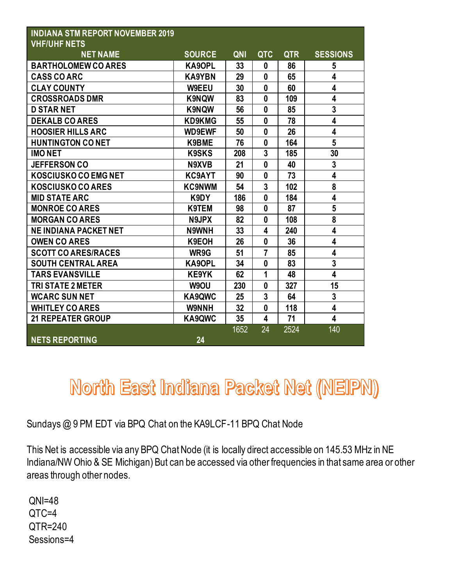| <b>INDIANA STM REPORT NOVEMBER 2019</b><br><b>VHF/UHF NETS</b> |               |            |                         |            |                         |
|----------------------------------------------------------------|---------------|------------|-------------------------|------------|-------------------------|
| <b>NET NAME</b>                                                | <b>SOURCE</b> | <b>QNI</b> | <b>QTC</b>              | <b>QTR</b> | <b>SESSIONS</b>         |
| <b>BARTHOLOMEW CO ARES</b>                                     | <b>KA9OPL</b> | 33         | $\mathbf{0}$            | 86         | 5                       |
| <b>CASS CO ARC</b>                                             | <b>KA9YBN</b> | 29         | $\bf{0}$                | 65         | 4                       |
| <b>CLAY COUNTY</b>                                             | <b>W9EEU</b>  | 30         | $\mathbf{0}$            | 60         | $\overline{\mathbf{4}}$ |
| <b>CROSSROADS DMR</b>                                          | <b>K9NQW</b>  | 83         | $\mathbf{0}$            | 109        | $\overline{\mathbf{4}}$ |
| <b>D STAR NET</b>                                              | <b>K9NQW</b>  | 56         | $\mathbf{0}$            | 85         | $\overline{\mathbf{3}}$ |
| <b>DEKALB CO ARES</b>                                          | <b>KD9KMG</b> | 55         | $\bf{0}$                | 78         | $\overline{\mathbf{4}}$ |
| <b>HOOSIER HILLS ARC</b>                                       | <b>WD9EWF</b> | 50         | $\bf{0}$                | 26         | $\overline{\mathbf{4}}$ |
| <b>HUNTINGTON CONET</b>                                        | K9BME         | 76         | $\bf{0}$                | 164        | 5                       |
| <b>IMONET</b>                                                  | <b>K9SKS</b>  | 208        | 3                       | 185        | 30                      |
| <b>JEFFERSON CO</b>                                            | N9XVB         | 21         | $\bf{0}$                | 40         | $\overline{3}$          |
| <b>KOSCIUSKO CO EMG NET</b>                                    | <b>KC9AYT</b> | 90         | $\mathbf{0}$            | 73         | $\overline{\mathbf{4}}$ |
| KOSCIUSKO CO ARES                                              | <b>KC9NWM</b> | 54         | 3                       | 102        | 8                       |
| <b>MID STATE ARC</b>                                           | K9DY          | 186        | $\mathbf{0}$            | 184        | $\overline{\mathbf{4}}$ |
| <b>MONROE CO ARES</b>                                          | K9TEM         | 98         | $\mathbf{0}$            | 87         | 5                       |
| <b>MORGAN CO ARES</b>                                          | N9JPX         | 82         | $\mathbf{0}$            | 108        | 8                       |
| <b>NE INDIANA PACKET NET</b>                                   | N9WNH         | 33         | 4                       | 240        | $\overline{\mathbf{4}}$ |
| <b>OWEN CO ARES</b>                                            | K9EOH         | 26         | $\mathbf{0}$            | 36         | 4                       |
| <b>SCOTT CO ARES/RACES</b>                                     | WR9G          | 51         | 7                       | 85         | $\overline{\mathbf{4}}$ |
| <b>SOUTH CENTRAL AREA</b>                                      | <b>KA9OPL</b> | 34         | $\mathbf{0}$            | 83         | $\overline{\mathbf{3}}$ |
| <b>TARS EVANSVILLE</b>                                         | <b>KE9YK</b>  | 62         | 1                       | 48         | $\overline{\mathbf{4}}$ |
| <b>TRI STATE 2 METER</b>                                       | W9OU          | 230        | $\mathbf{0}$            | 327        | 15                      |
| <b>WCARC SUN NET</b>                                           | KA9QWC        | 25         | 3                       | 64         | $\mathbf 3$             |
| <b>WHITLEY CO ARES</b>                                         | <b>W9NNH</b>  | 32         | $\mathbf{0}$            | 118        | $\overline{\mathbf{4}}$ |
| <b>21 REPEATER GROUP</b>                                       | KA9QWC        | 35         | $\overline{\mathbf{4}}$ | 71         | $\overline{\mathbf{4}}$ |
|                                                                |               | 1652       | 24                      | 2524       | 140                     |
| <b>NETS REPORTING</b>                                          | 24            |            |                         |            |                         |

# North East Indiana Packet Net (NEIPN)

Sundays @ 9 PM EDT via BPQ Chat on the KA9LCF-11 BPQ Chat Node

This Net is accessible via any BPQ Chat Node (it is locally direct accessible on 145.53 MHz in NE Indiana/NW Ohio & SE Michigan) But can be accessed via other frequencies in that same area or other areas through other nodes.

QNI=48 QTC=4 QTR=240 Sessions=4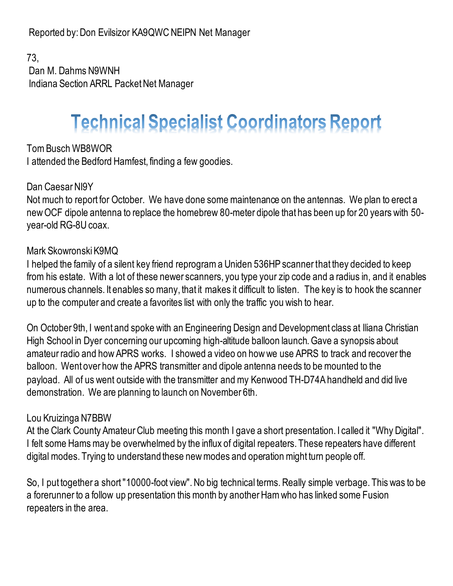Reported by: Don Evilsizor KA9QWC NEIPN Net Manager

73, Dan M. Dahms N9WNH Indiana Section ARRL Packet Net Manager

# **Technical Specialist Coordinators Report**

Tom Busch WB8WOR I attended the Bedford Hamfest, finding a few goodies.

#### Dan Caesar NI9Y

Not much to report for October. We have done some maintenance on the antennas. We plan to erect a new OCF dipole antenna to replace the homebrew 80-meter dipole that has been up for 20 years with 50 year-old RG-8U coax.

#### Mark Skowronski K9MQ

I helped the family of a silent key friend reprogram a Uniden 536HP scanner that they decided to keep from his estate. With a lot of these newer scanners, you type your zip code and a radius in, and it enables numerous channels. It enables so many, that it makes it difficult to listen. The key is to hook the scanner up to the computer and create a favorites list with only the traffic you wish to hear.

On October 9th, I went and spoke with an Engineering Design and Development class at Iliana Christian High School in Dyer concerning our upcoming high-altitude balloon launch. Gave a synopsis about amateur radio and how APRS works. I showed a video on how we use APRS to track and recover the balloon. Went over how the APRS transmitter and dipole antenna needs to be mounted to the payload. All of us went outside with the transmitter and my Kenwood TH-D74A handheld and did live demonstration. We are planning to launch on November 6th.

#### Lou Kruizinga N7BBW

At the Clark County Amateur Club meeting this month I gave a short presentation. I called it "Why Digital". I felt some Hams may be overwhelmed by the influx of digital repeaters. These repeaters have different digital modes. Trying to understand these new modes and operation might turn people off.

So, I put together a short "10000-foot view". No big technical terms. Really simple verbage. This was to be a forerunner to a follow up presentation this month by another Ham who has linked some Fusion repeaters in the area.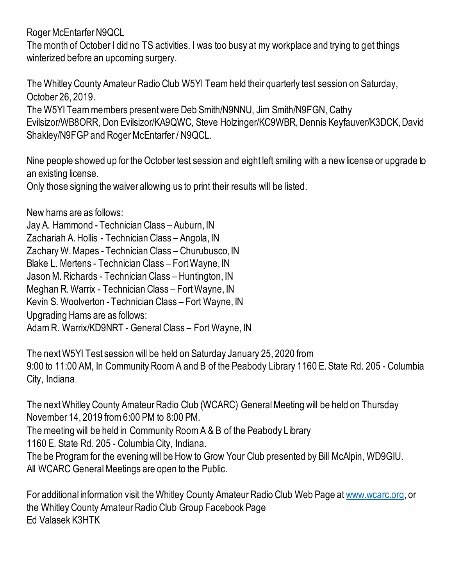Roger McEntarfer N9QCL

The month of October I did no TS activities. I was too busy at my workplace and trying to get things winterized before an upcoming surgery.

The Whitley County Amateur Radio Club W5YI Team held their quarterly test session on Saturday, October 26, 2019.

The W5YI Team members present were Deb Smith/N9NNU, Jim Smith/N9FGN, Cathy Evilsizor/WB8ORR, Don Evilsizor/KA9QWC, Steve Holzinger/KC9WBR, Dennis Keyfauver/K3DCK, David Shakley/N9FGP and Roger McEntarfer / N9QCL.

Nine people showed up for the October test session and eight left smiling with a new license or upgrade to an existing license.

Only those signing the waiver allowing us to print their results will be listed.

New hams are as follows:

Jay A. Hammond - Technician Class – Auburn, IN Zachariah A. Hollis - Technician Class – Angola, IN Zachary W. Mapes - Technician Class – Churubusco, IN Blake L. Mertens - Technician Class – Fort Wayne, IN Jason M. Richards - Technician Class – Huntington, IN Meghan R. Warrix - Technician Class – Fort Wayne, IN Kevin S. Woolverton - Technician Class – Fort Wayne, IN Upgrading Hams are as follows: Adam R. Warrix/KD9NRT - General Class – Fort Wayne, IN

The next W5YI Test session will be held on Saturday January 25, 2020 from 9:00 to 11:00 AM, In Community Room A and B of the Peabody Library 1160 E. State Rd. 205 - Columbia City, Indiana

The next Whitley County Amateur Radio Club (WCARC) General Meeting will be held on Thursday November 14, 2019 from 6:00 PM to 8:00 PM. The meeting will be held in Community Room A & B of the Peabody Library 1160 E. State Rd. 205 - Columbia City, Indiana. The be Program for the evening will be How to Grow Your Club presented by Bill McAlpin, WD9GIU. All WCARC General Meetings are open to the Public.

For additional information visit the Whitley County Amateur Radio Club Web Page a[t www.wcarc.org,](http://www.wcarc.org/) or the Whitley County Amateur Radio Club Group Facebook Page Ed Valasek K3HTK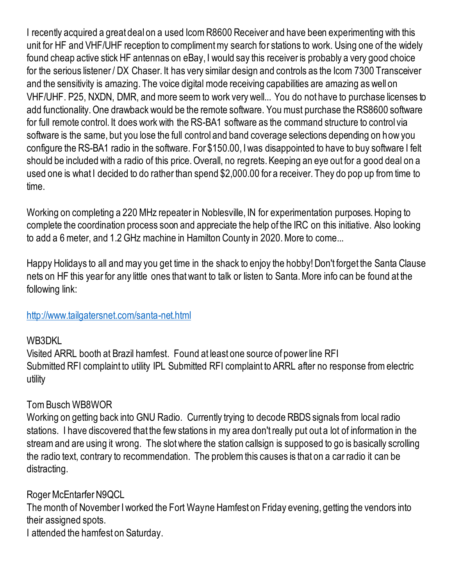I recently acquired a great deal on a used Icom R8600 Receiver and have been experimenting with this unit for HF and VHF/UHF reception to compliment my search for stations to work. Using one of the widely found cheap active stick HF antennas on eBay, I would say this receiver is probably a very good choice for the serious listener / DX Chaser. It has very similar design and controls as the Icom 7300 Transceiver and the sensitivity is amazing. The voice digital mode receiving capabilities are amazing as well on VHF/UHF. P25, NXDN, DMR, and more seem to work very well... You do not have to purchase licenses to add functionality. One drawback would be the remote software. You must purchase the RS8600 software for full remote control. It does work with the RS-BA1 software as the command structure to control via software is the same, but you lose the full control and band coverage selections depending on how you configure the RS-BA1 radio in the software. For \$150.00, I was disappointed to have to buy software I felt should be included with a radio of this price. Overall, no regrets. Keeping an eye out for a good deal on a used one is what I decided to do rather than spend \$2,000.00 for a receiver. They do pop up from time to time.

Working on completing a 220 MHz repeater in Noblesville, IN for experimentation purposes. Hoping to complete the coordination process soon and appreciate the help of the IRC on this initiative. Also looking to add a 6 meter, and 1.2 GHz machine in Hamilton County in 2020. More to come...

Happy Holidays to all and may you get time in the shack to enjoy the hobby! Don't forget the Santa Clause nets on HF this year for any little ones that want to talk or listen to Santa. More info can be found at the following link:

#### <http://www.tailgatersnet.com/santa-net.html>

#### WB3DKL

Visited ARRL booth at Brazil hamfest. Found at least one source of power line RFI Submitted RFI complaint to utility IPL Submitted RFI complaint to ARRL after no response from electric utility

# Tom Busch WB8WOR

Working on getting back into GNU Radio. Currently trying to decode RBDS signals from local radio stations. I have discovered that the few stations in my area don't really put out a lot of information in the stream and are using it wrong. The slot where the station callsign is supposed to go is basically scrolling the radio text, contrary to recommendation. The problem this causes is that on a car radio it can be distracting.

#### Roger McEntarfer N9QCL

The month of November I worked the Fort Wayne Hamfest on Friday evening, getting the vendors into their assigned spots.

I attended the hamfest on Saturday.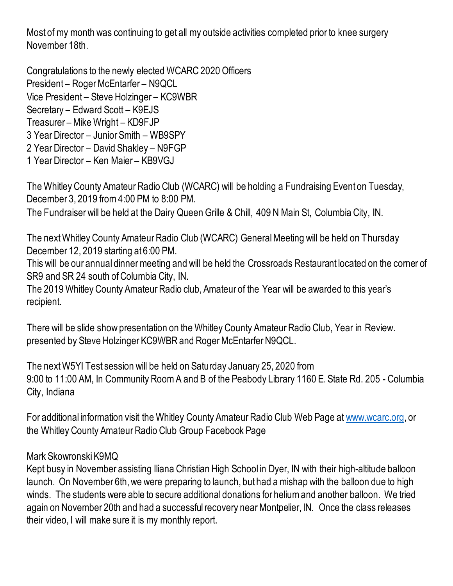Most of my month was continuing to get all my outside activities completed prior to knee surgery November 18th.

Congratulations to the newly elected WCARC 2020 Officers President – Roger McEntarfer – N9QCL Vice President – Steve Holzinger – KC9WBR Secretary – Edward Scott – K9EJS Treasurer – Mike Wright – KD9FJP 3 Year Director – Junior Smith – WB9SPY 2 Year Director – David Shakley – N9FGP 1 Year Director – Ken Maier – KB9VGJ

The Whitley County Amateur Radio Club (WCARC) will be holding a Fundraising Event on Tuesday, December 3, 2019 from 4:00 PM to 8:00 PM. The Fundraiser will be held at the Dairy Queen Grille & Chill, 409 N Main St, Columbia City, IN.

The next Whitley County Amateur Radio Club (WCARC) General Meeting will be held on Thursday

December 12, 2019 starting at 6:00 PM.

This will be our annual dinner meeting and will be held the Crossroads Restaurant located on the corner of SR9 and SR 24 south of Columbia City, IN.

The 2019 Whitley County Amateur Radio club, Amateur of the Year will be awarded to this year's recipient.

There will be slide show presentation on the Whitley County Amateur Radio Club, Year in Review. presented by Steve Holzinger KC9WBR and Roger McEntarfer N9QCL.

The next W5YI Test session will be held on Saturday January 25, 2020 from 9:00 to 11:00 AM, In Community Room A and B of the Peabody Library 1160 E. State Rd. 205 - Columbia City, Indiana

For additional information visit the Whitley County Amateur Radio Club Web Page a[t www.wcarc.org,](http://www.wcarc.org/) or the Whitley County Amateur Radio Club Group Facebook Page

#### Mark Skowronski K9MQ

Kept busy in November assisting Iliana Christian High School in Dyer, IN with their high-altitude balloon launch. On November 6th, we were preparing to launch, but had a mishap with the balloon due to high winds. The students were able to secure additional donations for helium and another balloon. We tried again on November 20th and had a successful recovery near Montpelier, IN. Once the class releases their video, I will make sure it is my monthly report.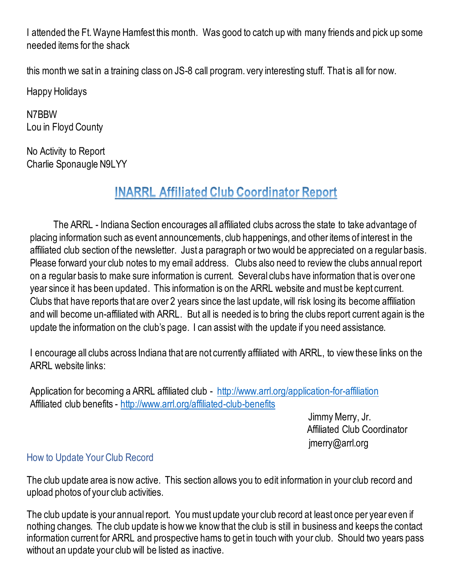I attended the Ft. Wayne Hamfest this month. Was good to catch up with many friends and pick up some needed items for the shack

this month we sat in a training class on JS-8 call program. very interesting stuff. That is all for now.

Happy Holidays

N7BBW Lou in Floyd County

No Activity to Report Charlie Sponaugle N9LYY

# **INARRL Affiliated Club Coordinator Report**

The ARRL - Indiana Section encourages all affiliated clubs across the state to take advantage of placing information such as event announcements, club happenings, and other items of interest in the affiliated club section of the newsletter. Just a paragraph or two would be appreciated on a regular basis. Please forward your club notes to my email address. Clubs also need to review the clubs annual report on a regular basis to make sure information is current. Several clubs have information that is over one year since it has been updated. This information is on the ARRL website and must be kept current. Clubs that have reports that are over 2 years since the last update, will risk losing its become affiliation and will become un-affiliated with ARRL. But all is needed is to bring the clubs report current again is the update the information on the club's page. I can assist with the update if you need assistance.

I encourage all clubs across Indiana that are not currently affiliated with ARRL, to view these links on the ARRL website links:

Application for becoming a ARRL affiliated club - http://www.arrl.org/application-for-affiliation Affiliated club benefits - <http://www.arrl.org/affiliated-club-benefits>

> Jimmy Merry, Jr. Affiliated Club Coordinator [jmerry@arrl.org](mailto:jmerry@arrl.org)

# How to Update Your Club Record

The club update area is now active. This section allows you to edit information in your club record and upload photos of your club activities.

The club update is your annual report. You must update your club record at least once per year even if nothing changes. The club update is how we know that the club is still in business and keeps the contact information current for ARRL and prospective hams to get in touch with your club. Should two years pass without an update your club will be listed as inactive.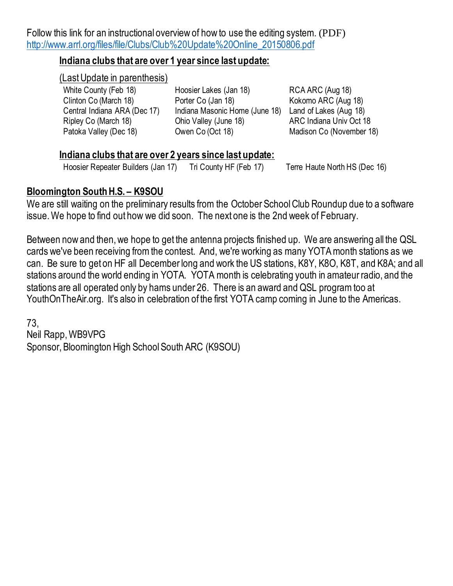Follow this link for an instructional overview of how to use the editing system. (PDF) [http://www.arrl.org/files/file/Clubs/Club%20Update%20Online\\_20150806.pdf](http://www.arrl.org/files/file/Clubs/Club%20Update%20Online_20150806.pdf)

#### **Indiana clubs that are over 1 year since last update:**

#### (Last Update in parenthesis)

White County (Feb 18) Hoosier Lakes (Jan 18) RCA ARC (Aug 18) Clinton Co (March 18) Porter Co (Jan 18) Kokomo ARC (Aug 18)<br>Central Indiana ARA (Dec 17) Indiana Masonic Home (June 18) Land of Lakes (Aug 18) Indiana Masonic Home (June 18) Land of Lakes (Aug 18) Ripley Co (March 18) Chio Valley (June 18) ARC Indiana Univ Oct 18 Patoka Valley (Dec 18) Cwen Co (Oct 18) Consumed Madison Co (November 18)

#### **Indiana clubs that are over 2 years since last update:**

Hoosier Repeater Builders (Jan 17) Tri County HF (Feb 17) Terre Haute North HS (Dec 16)

#### **Bloomington South H.S. – K9SOU**

We are still waiting on the preliminary results from the October School Club Roundup due to a software issue. We hope to find out how we did soon. The next one is the 2nd week of February.

Between now and then, we hope to get the antenna projects finished up. We are answering all the QSL cards we've been receiving from the contest. And, we're working as many YOTA month stations as we can. Be sure to get on HF all December long and work the US stations, K8Y, K8O, K8T, and K8A; and all stations around the world ending in YOTA. YOTA month is celebrating youth in amateur radio, and the stations are all operated only by hams under 26. There is an award and QSL program too at YouthOnTheAir.org. It's also in celebration of the first YOTA camp coming in June to the Americas.

73, Neil Rapp, WB9VPG Sponsor, Bloomington High School South ARC (K9SOU)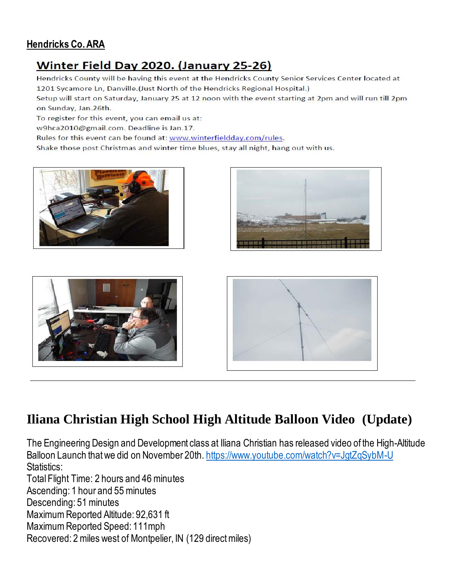### **Hendricks Co. ARA**

# Winter Field Day 2020. (January 25-26)

Hendricks County will be having this event at the Hendricks County Senior Services Center located at 1201 Sycamore Ln, Danville. (Just North of the Hendricks Regional Hospital.)

Setup will start on Saturday, January 25 at 12 noon with the event starting at 2pm and will run till 2pm on Sunday, Jan.26th.

To register for this event, you can email us at:

w9hca2010@gmail.com. Deadline is Jan.17.

Rules for this event can be found at: www.winterfieldday.com/rules.

Shake those post Christmas and winter time blues, stay all night, hang out with us.









# **Iliana Christian High School High Altitude Balloon Video (Update)**

The Engineering Design and Development class at Iliana Christian has released video of the High-Altitude Balloon Launch that we did on November 20th. <https://www.youtube.com/watch?v=JgtZqSybM-U> Statistics:

Total Flight Time: 2 hours and 46 minutes

Ascending: 1 hour and 55 minutes

Descending: 51 minutes

Maximum Reported Altitude: 92,631 ft

Maximum Reported Speed: 111mph

Recovered: 2 miles west of Montpelier, IN (129 direct miles)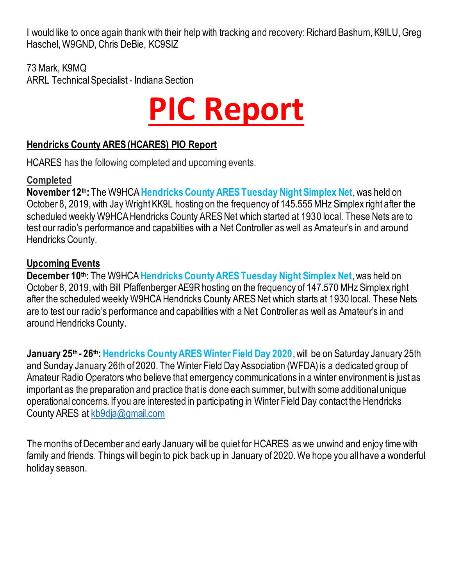I would like to once again thank with their help with tracking and recovery: Richard Bashum, K9ILU, Greg Haschel, W9GND, Chris DeBie, KC9SIZ

73 Mark, K9MQ ARRL Technical Specialist - Indiana Section



### **Hendricks County ARES (HCARES) PIO Report**

HCARES has the following completed and upcoming events.

## **Completed**

**November 12th:** The W9HCA **Hendricks County ARES Tuesday Night Simplex Net**, was held on October 8, 2019, with Jay Wright KK9L hosting on the frequency of 145.555 MHz Simplex right after the scheduled weekly W9HCA Hendricks County ARES Net which started at 1930 local. These Nets are to test our radio's performance and capabilities with a Net Controller as well as Amateur's in and around Hendricks County.

## **Upcoming Events**

**December 10th:** The W9HCA **Hendricks County ARES Tuesday Night Simplex Net**, was held on October 8, 2019, with Bill Pfaffenberger AE9R hosting on the frequency of 147.570 MHz Simplex right after the scheduled weekly W9HCA Hendricks County ARES Net which starts at 1930 local. These Nets are to test our radio's performance and capabilities with a Net Controller as well as Amateur's in and around Hendricks County.

**January 25<sup>th</sup> - 26<sup>th</sup>: Hendricks County ARES Winter Field Day 2020, will be on Saturday January 25th** and Sunday January 26th of 2020. The Winter Field Day Association (WFDA) is a dedicated group of Amateur Radio Operators who believe that emergency communications in a winter environment is just as important as the preparation and practice that is done each summer, but with some additional unique operational concerns. If you are interested in participating in Winter Field Day contact the Hendricks County ARES at [kb9dja@gmail.com](mailto:kb9dja@gmail.com)

The months of December and early January will be quiet for HCARES as we unwind and enjoy time with family and friends. Things will begin to pick back up in January of 2020. We hope you all have a wonderful holiday season.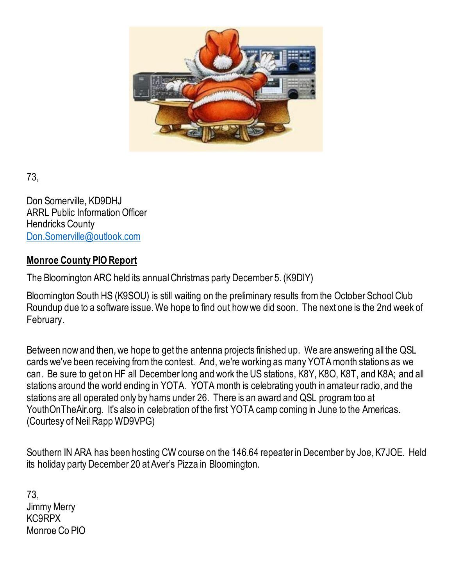

73,

Don Somerville, KD9DHJ ARRL Public Information Officer Hendricks County [Don.Somerville@outlook.com](mailto:Don.Somerville@outlook.com)

## **Monroe County PIO Report**

The Bloomington ARC held its annual Christmas party December 5. (K9DIY)

Bloomington South HS (K9SOU) is still waiting on the preliminary results from the October School Club Roundup due to a software issue. We hope to find out how we did soon. The next one is the 2nd week of February.

Between now and then, we hope to get the antenna projects finished up. We are answering all the QSL cards we've been receiving from the contest. And, we're working as many YOTA month stations as we can. Be sure to get on HF all December long and work the US stations, K8Y, K8O, K8T, and K8A; and all stations around the world ending in YOTA. YOTA month is celebrating youth in amateur radio, and the stations are all operated only by hams under 26. There is an award and QSL program too at YouthOnTheAir.org. It's also in celebration of the first YOTA camp coming in June to the Americas. (Courtesy of Neil Rapp WD9VPG)

Southern IN ARA has been hosting CW course on the 146.64 repeater in December by Joe, K7JOE. Held its holiday party December 20 at Aver's Pizza in Bloomington.

73, Jimmy Merry KC9RPX Monroe Co PIO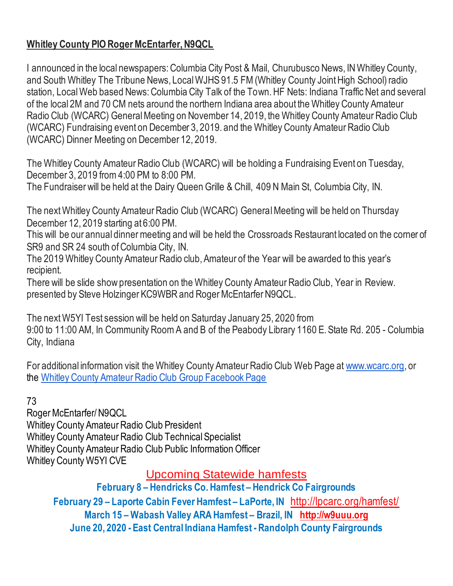# **Whitley County PIO Roger McEntarfer, N9QCL**

I announced in the local newspapers: Columbia City Post & Mail, Churubusco News, IN Whitley County, and South Whitley The Tribune News, Local WJHS 91.5 FM (Whitley County Joint High School) radio station, Local Web based News: Columbia City Talk of the Town. HF Nets: Indiana Traffic Net and several of the local 2M and 70 CM nets around the northern Indiana area about the Whitley County Amateur Radio Club (WCARC) General Meeting on November 14, 2019, the Whitley County Amateur Radio Club (WCARC) Fundraising event on December 3, 2019. and the Whitley County Amateur Radio Club (WCARC) Dinner Meeting on December 12, 2019.

The Whitley County Amateur Radio Club (WCARC) will be holding a Fundraising Event on Tuesday, December 3, 2019 from 4:00 PM to 8:00 PM.

The Fundraiser will be held at the Dairy Queen Grille & Chill, 409 N Main St, Columbia City, IN.

The next Whitley County Amateur Radio Club (WCARC) General Meeting will be held on Thursday December 12, 2019 starting at 6:00 PM.

This will be our annual dinner meeting and will be held the Crossroads Restaurant located on the corner of SR9 and SR 24 south of Columbia City, IN.

The 2019 Whitley County Amateur Radio club, Amateur of the Year will be awarded to this year's recipient.

There will be slide show presentation on the Whitley County Amateur Radio Club, Year in Review. presented by Steve Holzinger KC9WBR and Roger McEntarfer N9QCL.

The next W5YI Test session will be held on Saturday January 25, 2020 from 9:00 to 11:00 AM, In Community Room A and B of the Peabody Library 1160 E. State Rd. 205 - Columbia City, Indiana

For additional information visit the Whitley County Amateur Radio Club Web Page at [www.wcarc.org,](http://www.wcarc.org/) or the [Whitley County Amateur Radio Club Group Facebook Page](https://www.facebook.com/groups/445281282513824/)

# 73

Roger McEntarfer/ N9QCL Whitley County Amateur Radio Club President Whitley County Amateur Radio Club Technical Specialist Whitley County Amateur Radio Club Public Information Officer Whitley County W5YI CVE

Upcoming Statewide hamfests

**February 8 – Hendricks Co. Hamfest – Hendrick Co Fairgrounds February 29 – Laporte Cabin Fever Hamfest – LaPorte, IN** <http://lpcarc.org/hamfest/> **March 15 – Wabash Valley ARA Hamfest – Brazil, IN [http://w9uuu.org](http://w9uuu.org/) June 20, 2020 - East Central Indiana Hamfest -Randolph County Fairgrounds**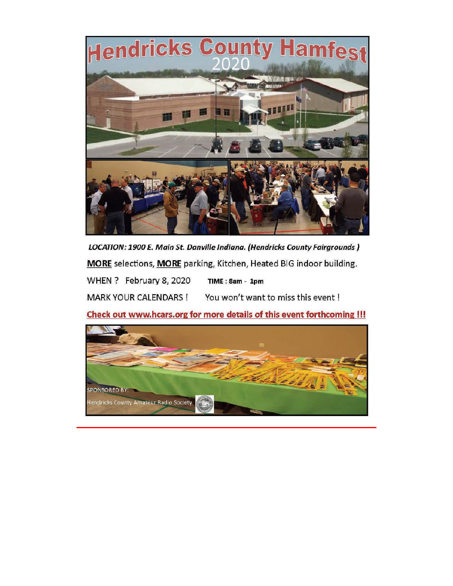

LOCATION: 1900 E. Main St. Danville Indiana. (Hendricks County Fairgrounds) MORE selections, MORE parking, Kitchen, Heated BIG indoor building.

WHEN ? February 8, 2020  $TIME: 8am - 1pm$ 

**MARK YOUR CALENDARS!** You won't want to miss this event !

Check out www.hcars.org for more details of this event forthcoming !!!